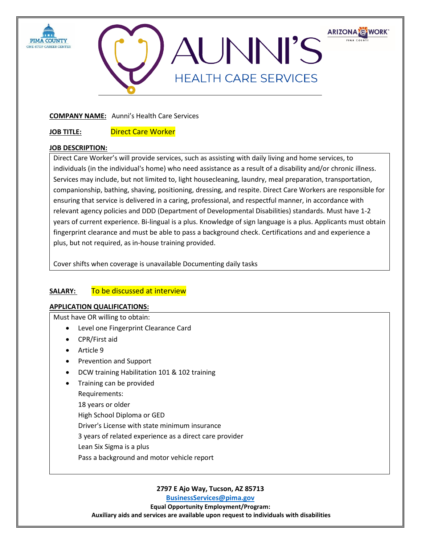



### **COMPANY NAME:** Aunni's Health Care Services

**JOB TITLE:** Direct Care Worker

## **JOB DESCRIPTION:**

Direct Care Worker's will provide services, such as assisting with daily living and home services, to individuals (in the individual's home) who need assistance as a result of a disability and/or chronic illness. Services may include, but not limited to, light housecleaning, laundry, meal preparation, transportation, companionship, bathing, shaving, positioning, dressing, and respite. Direct Care Workers are responsible for ensuring that service is delivered in a caring, professional, and respectful manner, in accordance with relevant agency policies and DDD (Department of Developmental Disabilities) standards. Must have 1-2 years of current experience. Bi-lingual is a plus. Knowledge of sign language is a plus. Applicants must obtain fingerprint clearance and must be able to pass a background check. Certifications and and experience a plus, but not required, as in-house training provided.

Cover shifts when coverage is unavailable Documenting daily tasks

# **SALARY:** To be discussed at interview

### **APPLICATION QUALIFICATIONS:**

Must have OR willing to obtain:

- Level one Fingerprint Clearance Card
- CPR/First aid
- Article 9
- Prevention and Support
- DCW training Habilitation 101 & 102 training
- Training can be provided
	- Requirements:
	- 18 years or older

High School Diploma or GED

Driver's License with state minimum insurance

3 years of related experience as a direct care provider

- Lean Six Sigma is a plus
- Pass a background and motor vehicle report

**2797 E Ajo Way, Tucson, AZ 85713**

**[BusinessServices@pima.gov](mailto:BusinessServices@pima.gov)**

**Equal Opportunity Employment/Program: Auxiliary aids and services are available upon request to individuals with disabilities**